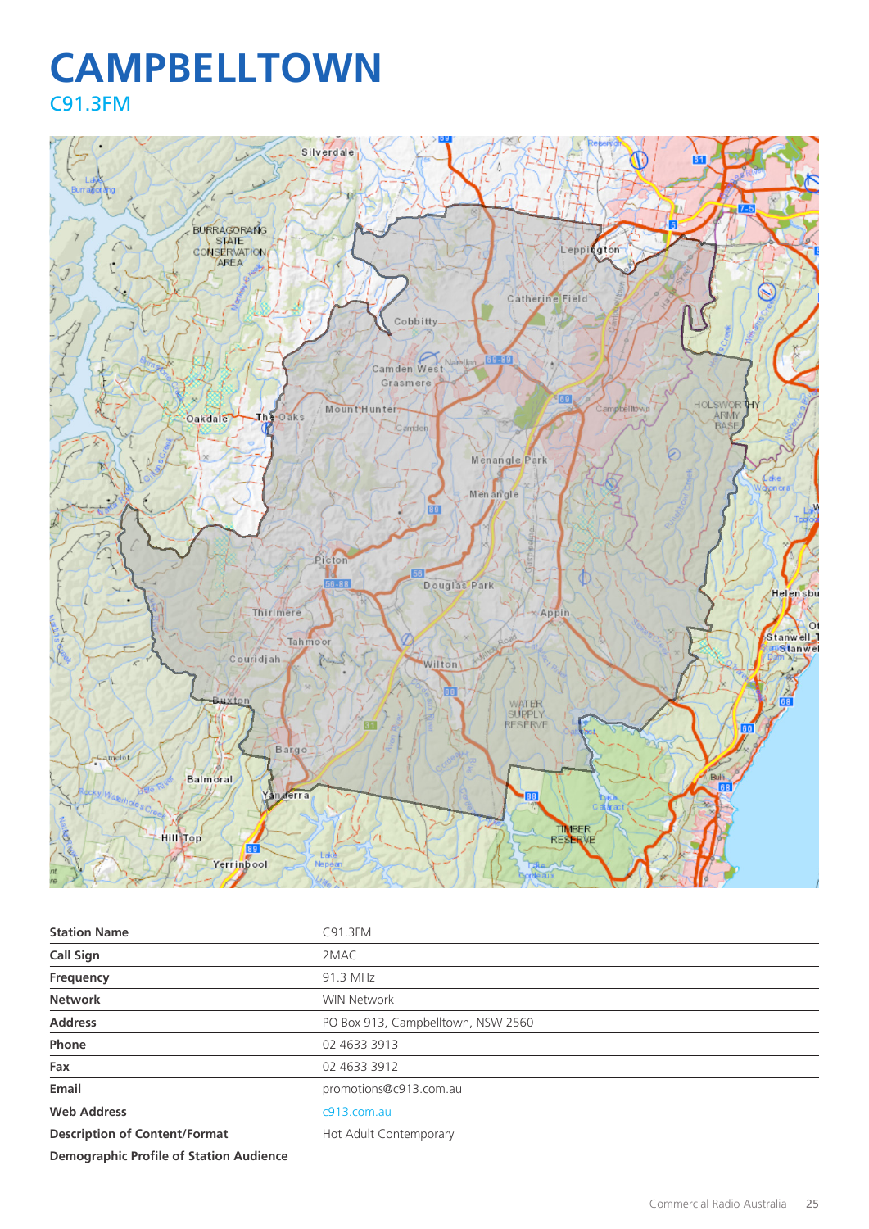## **CAMPBELLTOWN** C91.3FM



| <b>Station Name</b>                  | C91.3FM                            |
|--------------------------------------|------------------------------------|
| <b>Call Sign</b>                     | 2MAC                               |
| Frequency                            | 91.3 MHz                           |
| <b>Network</b>                       | <b>WIN Network</b>                 |
| <b>Address</b>                       | PO Box 913, Campbelltown, NSW 2560 |
| Phone                                | 02 4633 3913                       |
| Fax                                  | 02 4633 3912                       |
| Email                                | promotions@c913.com.au             |
| <b>Web Address</b>                   | c913.com.au                        |
| <b>Description of Content/Format</b> | Hot Adult Contemporary             |
|                                      |                                    |

**Demographic Profile of Station Audience**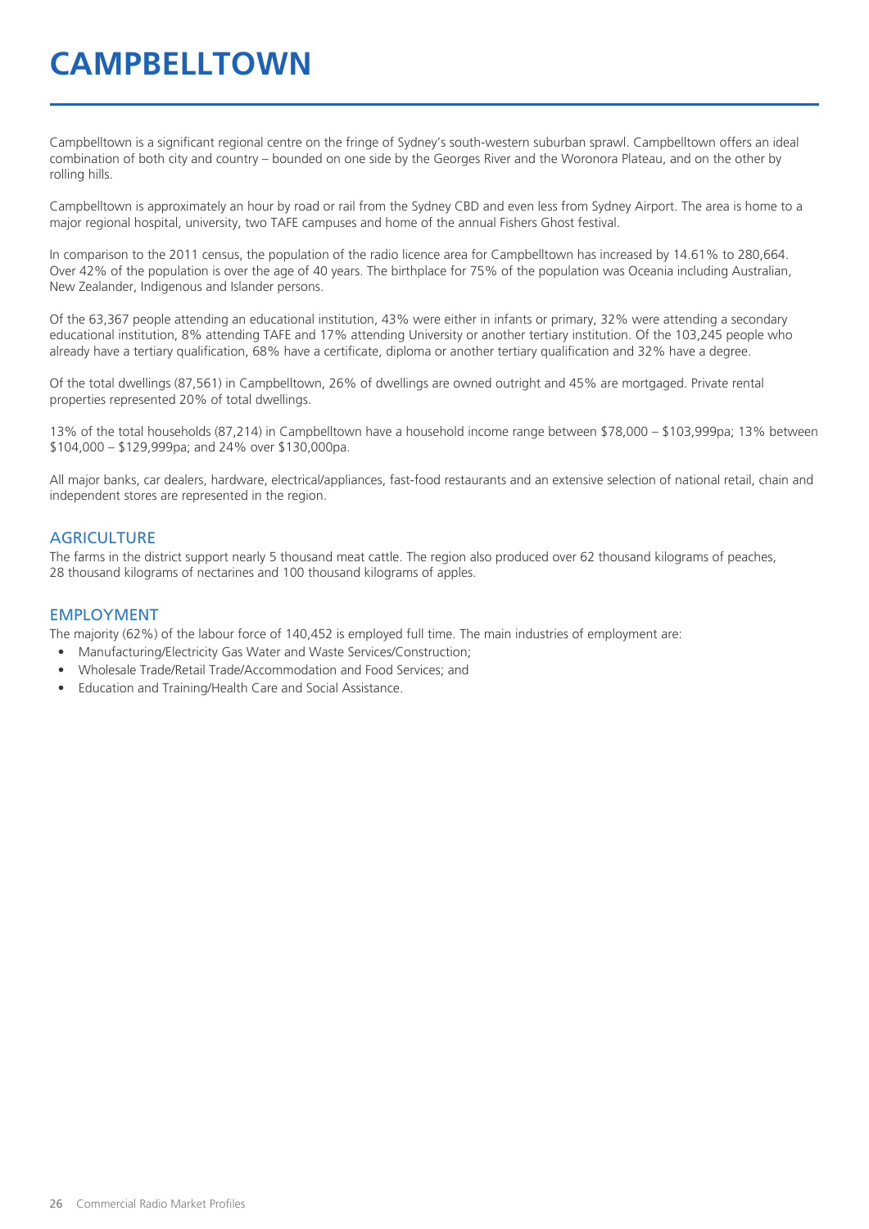# **CAMPBELLTOWN**

Campbelltown is a significant regional centre on the fringe of Sydney's south-western suburban sprawl. Campbelltown offers an ideal combination of both city and country – bounded on one side by the Georges River and the Woronora Plateau, and on the other by rolling hills.

Campbelltown is approximately an hour by road or rail from the Sydney CBD and even less from Sydney Airport. The area is home to a major regional hospital, university, two TAFE campuses and home of the annual Fishers Ghost festival.

In comparison to the 2011 census, the population of the radio licence area for Campbelltown has increased by 14.61% to 280,664. Over 42% of the population is over the age of 40 years. The birthplace for 75% of the population was Oceania including Australian, New Zealander, Indigenous and Islander persons.

Of the 63,367 people attending an educational institution, 43% were either in infants or primary, 32% were attending a secondary educational institution, 8% attending TAFE and 17% attending University or another tertiary institution. Of the 103,245 people who already have a tertiary qualification, 68% have a certificate, diploma or another tertiary qualification and 32% have a degree.

Of the total dwellings (87,561) in Campbelltown, 26% of dwellings are owned outright and 45% are mortgaged. Private rental properties represented 20% of total dwellings.

13% of the total households (87,214) in Campbelltown have a household income range between \$78,000 – \$103,999pa; 13% between \$104,000 – \$129,999pa; and 24% over \$130,000pa.

All major banks, car dealers, hardware, electrical/appliances, fast-food restaurants and an extensive selection of national retail, chain and independent stores are represented in the region.

#### **AGRICULTURE**

The farms in the district support nearly 5 thousand meat cattle. The region also produced over 62 thousand kilograms of peaches, 28 thousand kilograms of nectarines and 100 thousand kilograms of apples.

#### EMPLOYMENT

The majority (62%) of the labour force of 140,452 is employed full time. The main industries of employment are:

- Manufacturing/Electricity Gas Water and Waste Services/Construction;
- Wholesale Trade/Retail Trade/Accommodation and Food Services; and
- Education and Training/Health Care and Social Assistance.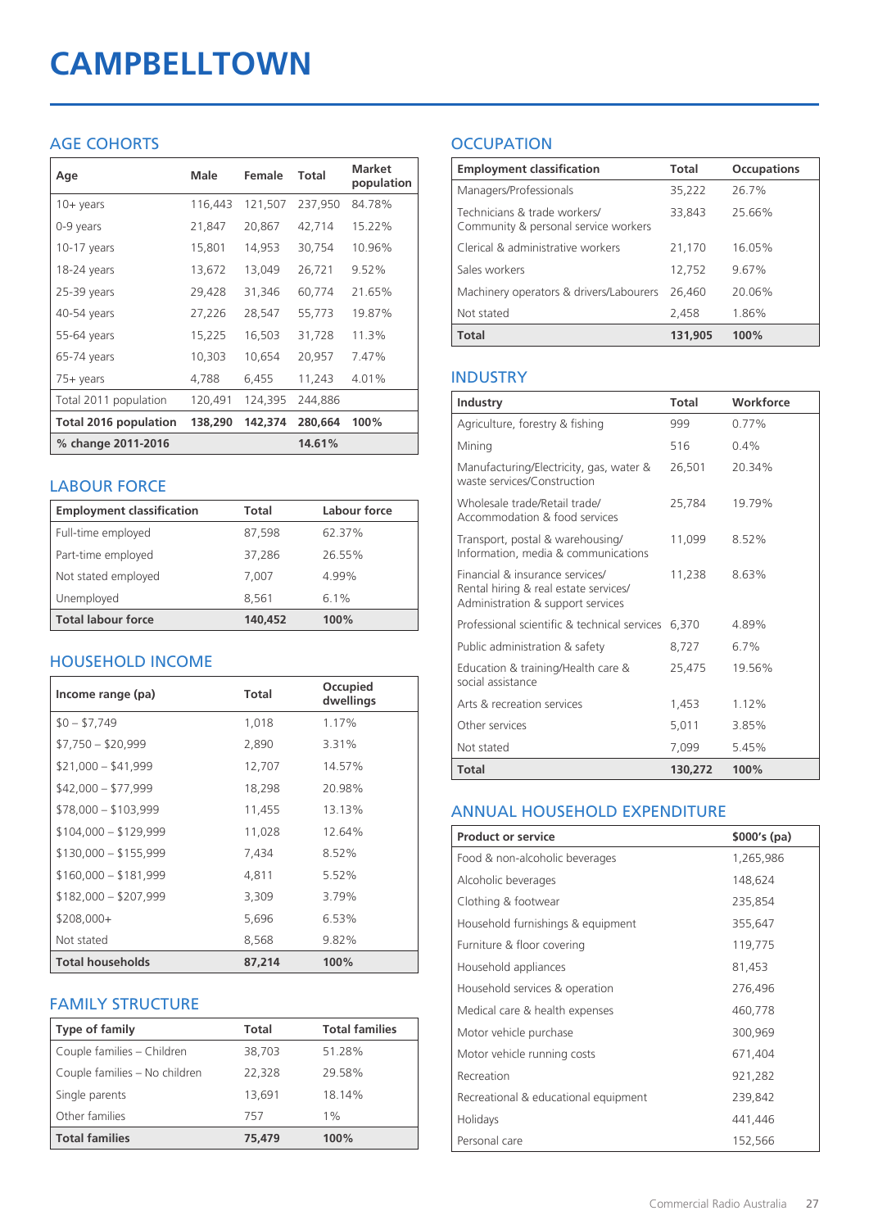# **CAMPBELLTOWN**

## AGE COHORTS

| Age                          | Male    | Female  | <b>Total</b> | <b>Market</b><br>population |
|------------------------------|---------|---------|--------------|-----------------------------|
| $10 + \gamma$ ears           | 116,443 | 121,507 | 237,950      | 84.78%                      |
| 0-9 years                    | 21,847  | 20,867  | 42,714       | 15.22%                      |
| $10-17$ years                | 15,801  | 14,953  | 30,754       | 10.96%                      |
| 18-24 years                  | 13,672  | 13,049  | 26,721       | 9.52%                       |
| 25-39 years                  | 29,428  | 31,346  | 60,774       | 21.65%                      |
| 40-54 years                  | 27,226  | 28,547  | 55,773       | 19.87%                      |
| 55-64 years                  | 15,225  | 16,503  | 31,728       | 11.3%                       |
| 65-74 years                  | 10,303  | 10,654  | 20,957       | 7.47%                       |
| $75+$ years                  | 4,788   | 6,455   | 11,243       | 4.01%                       |
| Total 2011 population        | 120,491 | 124,395 | 244,886      |                             |
| <b>Total 2016 population</b> | 138,290 | 142,374 | 280,664      | 100%                        |
| % change 2011-2016           |         |         | 14.61%       |                             |

## LABOUR FORCE

| <b>Employment classification</b> | Total   | Labour force |
|----------------------------------|---------|--------------|
| Full-time employed               | 87,598  | 62.37%       |
| Part-time employed               | 37,286  | 26.55%       |
| Not stated employed              | 7,007   | 4.99%        |
| Unemployed                       | 8.561   | 6.1%         |
| <b>Total labour force</b>        | 140,452 | 100%         |

## HOUSEHOLD INCOME

| Income range (pa)       | <b>Total</b> | Occupied<br>dwellings |
|-------------------------|--------------|-----------------------|
| $$0 - $7,749$           | 1,018        | 1.17%                 |
| $$7,750 - $20,999$      | 2,890        | 3.31%                 |
| $$21,000 - $41,999$     | 12,707       | 14.57%                |
| $$42,000 - $77,999$     | 18,298       | 20.98%                |
| $$78,000 - $103,999$    | 11,455       | 13.13%                |
| $$104,000 - $129,999$   | 11,028       | 12.64%                |
| $$130,000 - $155,999$   | 7,434        | 8.52%                 |
| $$160,000 - $181,999$   | 4,811        | 5.52%                 |
| $$182,000 - $207,999$   | 3,309        | 3.79%                 |
| $$208,000+$             | 5,696        | 6.53%                 |
| Not stated              | 8,568        | 9.82%                 |
| <b>Total households</b> | 87,214       | 100%                  |

## FAMILY STRUCTURE

| <b>Type of family</b>         | <b>Total</b> | <b>Total families</b> |
|-------------------------------|--------------|-----------------------|
| Couple families - Children    | 38,703       | 51.28%                |
| Couple families - No children | 22,328       | 29.58%                |
| Single parents                | 13.691       | 18.14%                |
| Other families                | 757          | $1\%$                 |
| <b>Total families</b>         | 75,479       | 100%                  |

## **OCCUPATION**

| <b>Employment classification</b>                                     | <b>Total</b> | <b>Occupations</b> |
|----------------------------------------------------------------------|--------------|--------------------|
| Managers/Professionals                                               | 35,222       | 26.7%              |
| Technicians & trade workers/<br>Community & personal service workers | 33,843       | 25.66%             |
| Clerical & administrative workers                                    | 21,170       | 16.05%             |
| Sales workers                                                        | 12,752       | 9.67%              |
| Machinery operators & drivers/Labourers                              | 26,460       | 20.06%             |
| Not stated                                                           | 2.458        | 1.86%              |
| <b>Total</b>                                                         | 131.905      | 100%               |

## INDUSTRY

| Industry                                                                                                      | Total   | Workforce |
|---------------------------------------------------------------------------------------------------------------|---------|-----------|
| Agriculture, forestry & fishing                                                                               | 999     | 0.77%     |
| Mining                                                                                                        | 516     | $0.4\%$   |
| Manufacturing/Electricity, gas, water &<br>waste services/Construction                                        | 26,501  | 20.34%    |
| Wholesale trade/Retail trade/<br>Accommodation & food services                                                | 25,784  | 19.79%    |
| Transport, postal & warehousing/<br>Information, media & communications                                       | 11,099  | 8.52%     |
| Financial & insurance services/<br>Rental hiring & real estate services/<br>Administration & support services | 11.238  | 8.63%     |
| Professional scientific & technical services                                                                  | 6,370   | 4.89%     |
| Public administration & safety                                                                                | 8,727   | 6.7%      |
| Education & training/Health care &<br>social assistance                                                       | 25,475  | 19.56%    |
| Arts & recreation services                                                                                    | 1,453   | 1.12%     |
| Other services                                                                                                | 5,011   | 3.85%     |
| Not stated                                                                                                    | 7.099   | 5.45%     |
| Total                                                                                                         | 130,272 | 100%      |

## ANNUAL HOUSEHOLD EXPENDITURE

| <b>Product or service</b>            | $$000's$ (pa) |
|--------------------------------------|---------------|
| Food & non-alcoholic beverages       | 1,265,986     |
| Alcoholic beverages                  | 148,624       |
| Clothing & footwear                  | 235,854       |
| Household furnishings & equipment    | 355,647       |
| Furniture & floor covering           | 119,775       |
| Household appliances                 | 81,453        |
| Household services & operation       | 276,496       |
| Medical care & health expenses       | 460,778       |
| Motor vehicle purchase               | 300,969       |
| Motor vehicle running costs          | 671,404       |
| Recreation                           | 921,282       |
| Recreational & educational equipment | 239,842       |
| Holidays                             | 441,446       |
| Personal care                        | 152,566       |